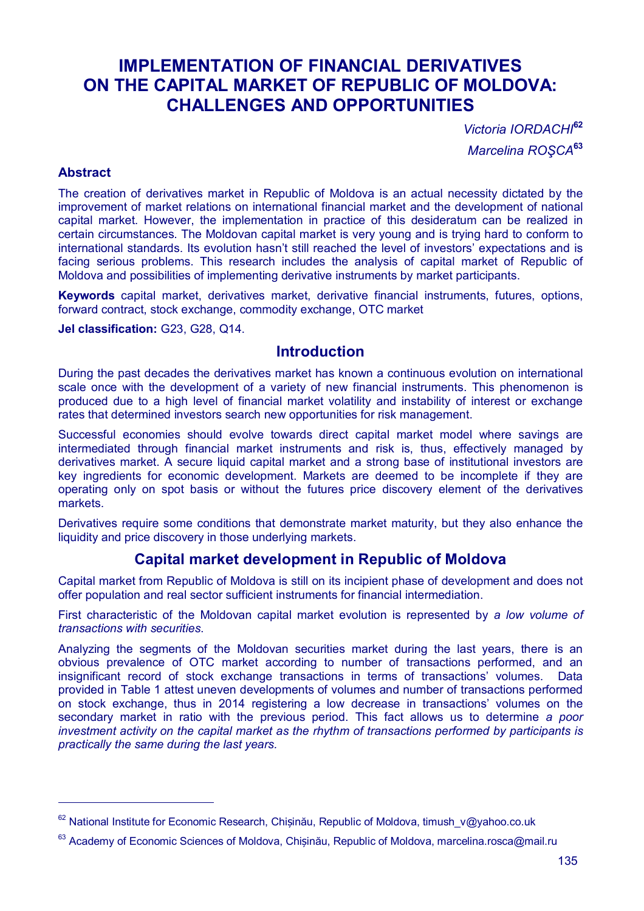# **IMPLEMENTATION OF FINANCIAL DERIVATIVES ON THE CAPITAL MARKET OF REPUBLIC OF MOLDOVA: CHALLENGES AND OPPORTUNITIES**

*Victoria IORDACHI***<sup>62</sup>** *Marcelina ROŞCA***<sup>63</sup>**

#### **Abstract**

 $\overline{a}$ 

The creation of derivatives market in Republic of Moldova is an actual necessity dictated by the improvement of market relations on international financial market and the development of national capital market. However, the implementation in practice of this desideratum can be realized in certain circumstances. The Moldovan capital market is very young and is trying hard to conform to international standards. Its evolution hasn't still reached the level of investors' expectations and is facing serious problems. This research includes the analysis of capital market of Republic of Moldova and possibilities of implementing derivative instruments by market participants.

**Keywords** capital market, derivatives market, derivative financial instruments, futures, options, forward contract, stock exchange, commodity exchange, OTC market

**Jel classification:** G23, G28, Q14.

## **Introduction**

During the past decades the derivatives market has known a continuous evolution on international scale once with the development of a variety of new financial instruments. This phenomenon is produced due to a high level of financial market volatility and instability of interest or exchange rates that determined investors search new opportunities for risk management.

Successful economies should evolve towards direct capital market model where savings are intermediated through financial market instruments and risk is, thus, effectively managed by derivatives market. A secure liquid capital market and a strong base of institutional investors are key ingredients for economic development. Markets are deemed to be incomplete if they are operating only on spot basis or without the futures price discovery element of the derivatives markets.

Derivatives require some conditions that demonstrate market maturity, but they also enhance the liquidity and price discovery in those underlying markets.

### **Capital market development in Republic of Moldova**

Capital market from Republic of Moldova is still on its incipient phase of development and does not offer population and real sector sufficient instruments for financial intermediation.

First characteristic of the Moldovan capital market evolution is represented by *a low volume of transactions with securities*.

Analyzing the segments of the Moldovan securities market during the last years, there is an obvious prevalence of OTC market according to number of transactions performed, and an insignificant record of stock exchange transactions in terms of transactions' volumes. Data provided in Table 1 attest uneven developments of volumes and number of transactions performed on stock exchange, thus in 2014 registering a low decrease in transactions' volumes on the secondary market in ratio with the previous period. This fact allows us to determine *a poor investment activity on the capital market as the rhythm of transactions performed by participants is practically the same during the last years.*

<sup>&</sup>lt;sup>62</sup> National Institute for Economic Research, Chișinău, Republic of Moldova, timush\_v@yahoo.co.uk

<sup>63</sup> Academy of Economic Sciences of Moldova, Chișinău, Republic of Moldova, marcelina.rosca@mail.ru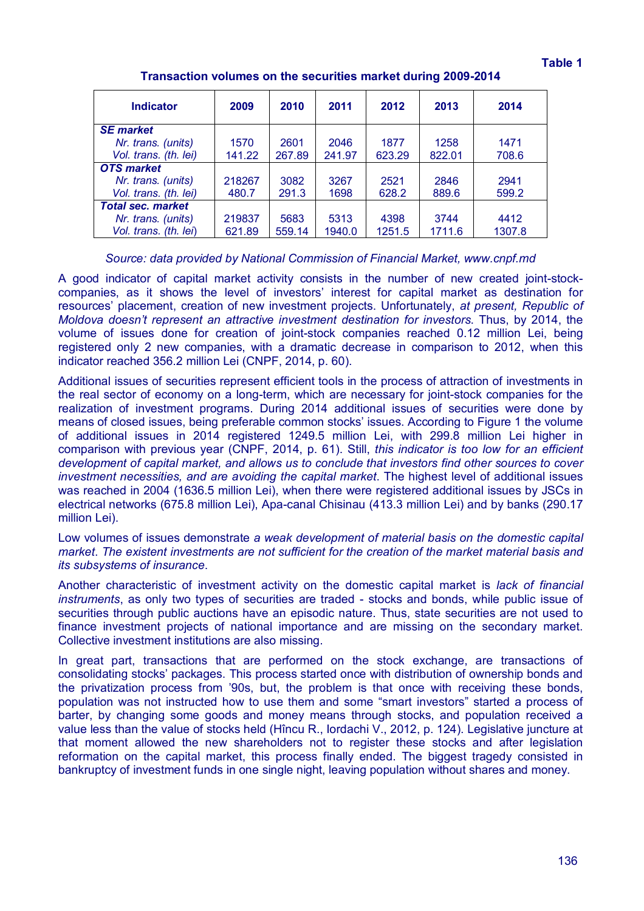| 2009   | 2010   | 2011   | 2012   | 2013   | 2014   |
|--------|--------|--------|--------|--------|--------|
|        |        |        |        |        |        |
| 1570   | 2601   | 2046   | 1877   | 1258   | 1471   |
| 141.22 | 267.89 | 241.97 | 623.29 | 822.01 | 708.6  |
|        |        |        |        |        |        |
| 218267 | 3082   | 3267   | 2521   | 2846   | 2941   |
| 480.7  | 291.3  | 1698   | 628.2  | 889.6  | 599.2  |
|        |        |        |        |        |        |
| 219837 | 5683   | 5313   | 4398   | 3744   | 4412   |
| 621.89 | 559.14 | 1940.0 | 1251.5 | 1711.6 | 1307.8 |
|        |        |        |        |        |        |

**Transaction volumes on the securities market during 2009-2014**

### *Source: data provided by National Commission of Financial Market, www.cnpf.md*

A good indicator of capital market activity consists in the number of new created joint-stockcompanies, as it shows the level of investors' interest for capital market as destination for resources' placement, creation of new investment projects. Unfortunately, *at present, Republic of Moldova doesn't represent an attractive investment destination for investors*. Thus, by 2014, the volume of issues done for creation of joint-stock companies reached 0.12 million Lei, being registered only 2 new companies, with a dramatic decrease in comparison to 2012, when this indicator reached 356.2 million Lei (CNPF, 2014, p. 60).

Additional issues of securities represent efficient tools in the process of attraction of investments in the real sector of economy on a long-term, which are necessary for joint-stock companies for the realization of investment programs. During 2014 additional issues of securities were done by means of closed issues, being preferable common stocks' issues. According to Figure 1 the volume of additional issues in 2014 registered 1249.5 million Lei, with 299.8 million Lei higher in comparison with previous year (CNPF, 2014, p. 61). Still, *this indicator is too low for an efficient development of capital market, and allows us to conclude that investors find other sources to cover investment necessities, and are avoiding the capital market*. The highest level of additional issues was reached in 2004 (1636.5 million Lei), when there were registered additional issues by JSCs in electrical networks (675.8 million Lei), Apa-canal Chisinau (413.3 million Lei) and by banks (290.17 million Lei).

Low volumes of issues demonstrate *a weak development of material basis on the domestic capital market*. *The existent investments are not sufficient for the creation of the market material basis and its subsystems of insurance*.

Another characteristic of investment activity on the domestic capital market is *lack of financial instruments*, as only two types of securities are traded - stocks and bonds, while public issue of securities through public auctions have an episodic nature. Thus, state securities are not used to finance investment projects of national importance and are missing on the secondary market. Collective investment institutions are also missing.

In great part, transactions that are performed on the stock exchange, are transactions of consolidating stocks' packages. This process started once with distribution of ownership bonds and the privatization process from '90s, but, the problem is that once with receiving these bonds, population was not instructed how to use them and some "smart investors" started a process of barter, by changing some goods and money means through stocks, and population received a value less than the value of stocks held (Hîncu R., Iordachi V., 2012, p. 124). Legislative juncture at that moment allowed the new shareholders not to register these stocks and after legislation reformation on the capital market, this process finally ended. The biggest tragedy consisted in bankruptcy of investment funds in one single night, leaving population without shares and money.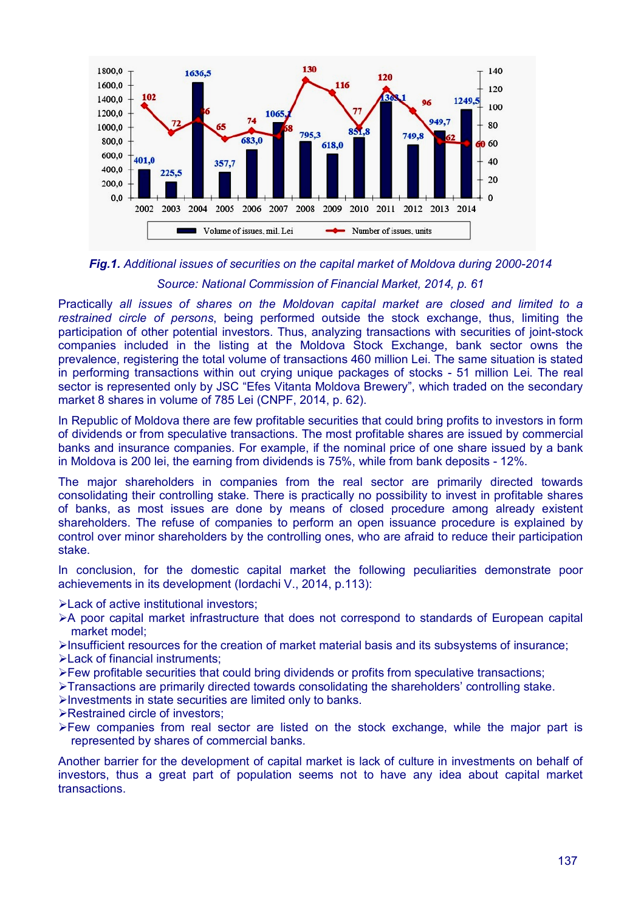

## *Fig.1. Additional issues of securities on the capital market of Moldova during 2000-2014 Source: National Commission of Financial Market, 2014, p. 61*

Practically *all issues of shares on the Moldovan capital market are closed and limited to a restrained circle of persons*, being performed outside the stock exchange, thus, limiting the participation of other potential investors. Thus, analyzing transactions with securities of joint-stock companies included in the listing at the Moldova Stock Exchange, bank sector owns the prevalence, registering the total volume of transactions 460 million Lei. The same situation is stated in performing transactions within out crying unique packages of stocks - 51 million Lei. The real sector is represented only by JSC "Efes Vitanta Moldova Brewery", which traded on the secondary market 8 shares in volume of 785 Lei (CNPF, 2014, p. 62).

In Republic of Moldova there are few profitable securities that could bring profits to investors in form of dividends or from speculative transactions. The most profitable shares are issued by commercial banks and insurance companies. For example, if the nominal price of one share issued by a bank in Moldova is 200 lei, the earning from dividends is 75%, while from bank deposits - 12%.

The major shareholders in companies from the real sector are primarily directed towards consolidating their controlling stake. There is practically no possibility to invest in profitable shares of banks, as most issues are done by means of closed procedure among already existent shareholders. The refuse of companies to perform an open issuance procedure is explained by control over minor shareholders by the controlling ones, who are afraid to reduce their participation stake.

In conclusion, for the domestic capital market the following peculiarities demonstrate poor achievements in its development (Iordachi V., 2014, p.113):

**Example 2 Figure institutional investors:** 

- A poor capital market infrastructure that does not correspond to standards of European capital market model;
- Insufficient resources for the creation of market material basis and its subsystems of insurance; **Exack of financial instruments:**
- $\triangleright$  Few profitable securities that could bring dividends or profits from speculative transactions;
- Transactions are primarily directed towards consolidating the shareholders' controlling stake.
- $\triangleright$  Investments in state securities are limited only to banks.
- **Example 2 Restrained circle of investors:**
- Few companies from real sector are listed on the stock exchange, while the major part is represented by shares of commercial banks.

Another barrier for the development of capital market is lack of culture in investments on behalf of investors, thus a great part of population seems not to have any idea about capital market transactions.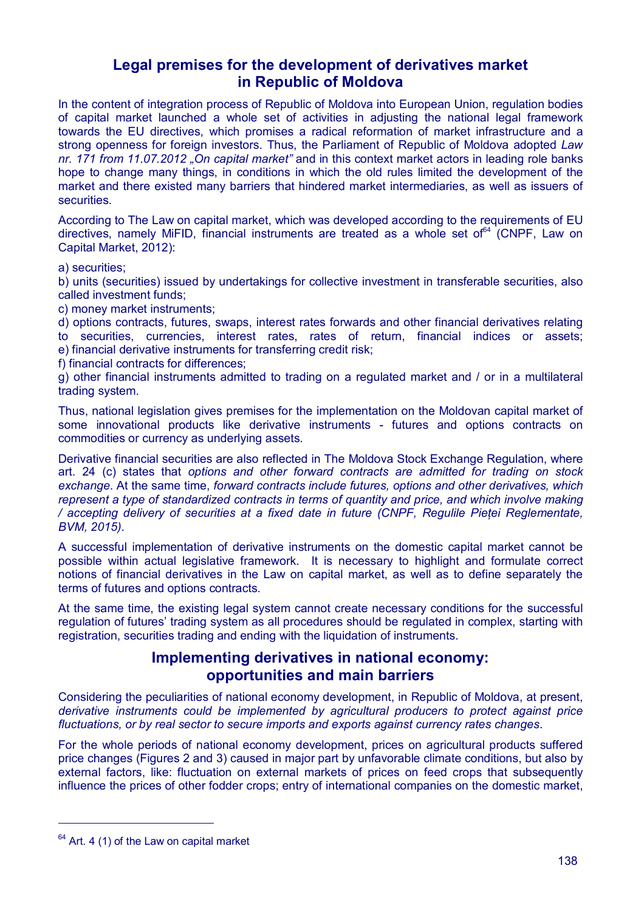## **Legal premises for the development of derivatives market in Republic of Moldova**

In the content of integration process of Republic of Moldova into European Union, regulation bodies of capital market launched a whole set of activities in adjusting the national legal framework towards the EU directives, which promises a radical reformation of market infrastructure and a strong openness for foreign investors. Thus, the Parliament of Republic of Moldova adopted *Law nr. 171 from 11.07.2012 "On capital market"* and in this context market actors in leading role banks hope to change many things, in conditions in which the old rules limited the development of the market and there existed many barriers that hindered market intermediaries, as well as issuers of securities.

According to The Law on capital market, which was developed according to the requirements of EU directives, namely MiFID, financial instruments are treated as a whole set of  $64$  (CNPF, Law on Capital Market, 2012):

a) securities;

b) units (securities) issued by undertakings for collective investment in transferable securities, also called investment funds;

c) money market instruments;

d) options contracts, futures, swaps, interest rates forwards and other financial derivatives relating to securities, currencies, interest rates, rates of return, financial indices or assets; e) financial derivative instruments for transferring credit risk;

f) financial contracts for differences;

g) other financial instruments admitted to trading on a regulated market and / or in a multilateral trading system.

Thus, national legislation gives premises for the implementation on the Moldovan capital market of some innovational products like derivative instruments - futures and options contracts on commodities or currency as underlying assets.

Derivative financial securities are also reflected in The Moldova Stock Exchange Regulation, where art. 24 (c) states that *options and other forward contracts are admitted for trading on stock exchange*. At the same time, *forward contracts include futures, options and other derivatives, which represent a type of standardized contracts in terms of quantity and price, and which involve making / accepting delivery of securities at a fixed date in future (CNPF, Regulile Pieței Reglementate, BVM, 2015)*.

A successful implementation of derivative instruments on the domestic capital market cannot be possible within actual legislative framework. It is necessary to highlight and formulate correct notions of financial derivatives in the Law on capital market, as well as to define separately the terms of futures and options contracts.

At the same time, the existing legal system cannot create necessary conditions for the successful regulation of futures' trading system as all procedures should be regulated in complex, starting with registration, securities trading and ending with the liquidation of instruments.

## **Implementing derivatives in national economy: opportunities and main barriers**

Considering the peculiarities of national economy development, in Republic of Moldova, at present, *derivative instruments could be implemented by agricultural producers to protect against price fluctuations, or by real sector to secure imports and exports against currency rates changes*.

For the whole periods of national economy development, prices on agricultural products suffered price changes (Figures 2 and 3) caused in major part by unfavorable climate conditions, but also by external factors, like: fluctuation on external markets of prices on feed crops that subsequently influence the prices of other fodder crops; entry of international companies on the domestic market,

 $\overline{a}$ 

 $64$  Art. 4 (1) of the Law on capital market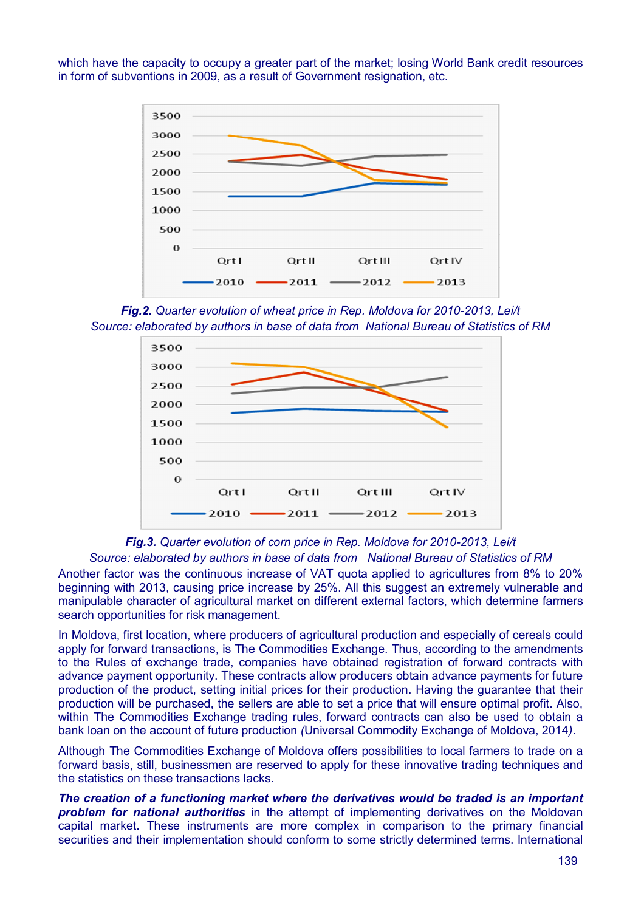which have the capacity to occupy a greater part of the market; losing World Bank credit resources in form of subventions in 2009, as a result of Government resignation, etc.



*Fig.2. Quarter evolution of wheat price in Rep. Moldova for 2010-2013, Lei/t Source: elaborated by authors in base of data from National Bureau of Statistics of RM*



*Fig.3. Quarter evolution of corn price in Rep. Moldova for 2010-2013, Lei/t*

#### *Source: elaborated by authors in base of data from National Bureau of Statistics of RM*

Another factor was the continuous increase of VAT quota applied to agricultures from 8% to 20% beginning with 2013, causing price increase by 25%. All this suggest an extremely vulnerable and manipulable character of agricultural market on different external factors, which determine farmers search opportunities for risk management.

In Moldova, first location, where producers of agricultural production and especially of cereals could apply for forward transactions, is The Commodities Exchange. Thus, according to the amendments to the Rules of exchange trade, companies have obtained registration of forward contracts with advance payment opportunity. These contracts allow producers obtain advance payments for future production of the product, setting initial prices for their production. Having the guarantee that their production will be purchased, the sellers are able to set a price that will ensure optimal profit. Also, within The Commodities Exchange trading rules, forward contracts can also be used to obtain a bank loan on the account of future production *(*Universal Commodity Exchange of Moldova, 2014*)*.

Although The Commodities Exchange of Moldova offers possibilities to local farmers to trade on a forward basis, still, businessmen are reserved to apply for these innovative trading techniques and the statistics on these transactions lacks.

*The creation of a functioning market where the derivatives would be traded is an important problem for national authorities* in the attempt of implementing derivatives on the Moldovan capital market. These instruments are more complex in comparison to the primary financial securities and their implementation should conform to some strictly determined terms. International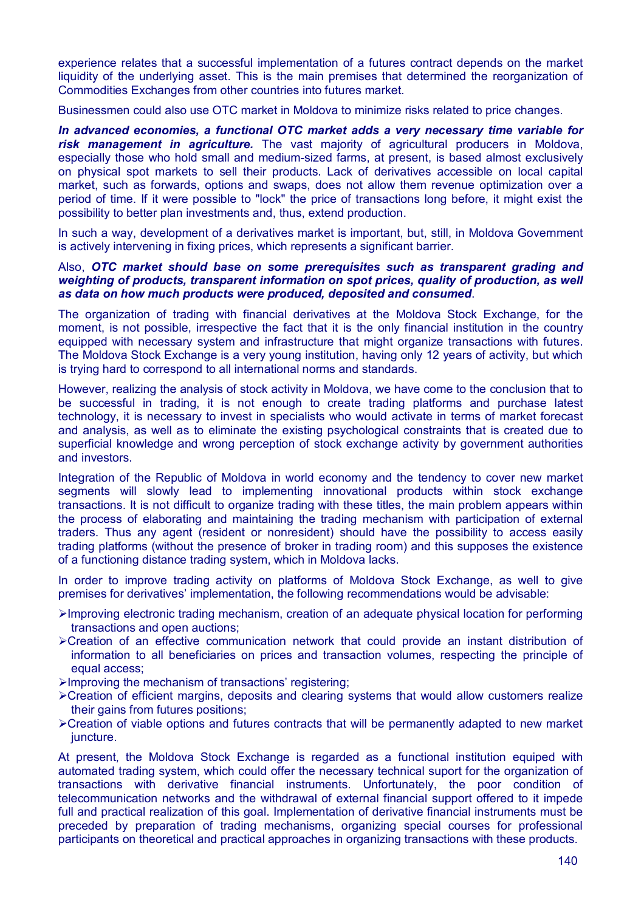experience relates that a successful implementation of a futures contract depends on the market liquidity of the underlying asset. This is the main premises that determined the reorganization of Commodities Exchanges from other countries into futures market.

Businessmen could also use OTC market in Moldova to minimize risks related to price changes.

*In advanced economies, a functional OTC market adds a very necessary time variable for risk management in agriculture.* The vast majority of agricultural producers in Moldova, especially those who hold small and medium-sized farms, at present, is based almost exclusively on physical spot markets to sell their products. Lack of derivatives accessible on local capital market, such as forwards, options and swaps, does not allow them revenue optimization over a period of time. If it were possible to "lock" the price of transactions long before, it might exist the possibility to better plan investments and, thus, extend production.

In such a way, development of a derivatives market is important, but, still, in Moldova Government is actively intervening in fixing prices, which represents a significant barrier.

#### Also, *OTC market should base on some prerequisites such as transparent grading and weighting of products, transparent information on spot prices, quality of production, as well as data on how much products were produced, deposited and consumed*.

The organization of trading with financial derivatives at the Moldova Stock Exchange, for the moment, is not possible, irrespective the fact that it is the only financial institution in the country equipped with necessary system and infrastructure that might organize transactions with futures. The Moldova Stock Exchange is a very young institution, having only 12 years of activity, but which is trying hard to correspond to all international norms and standards.

However, realizing the analysis of stock activity in Moldova, we have come to the conclusion that to be successful in trading, it is not enough to create trading platforms and purchase latest technology, it is necessary to invest in specialists who would activate in terms of market forecast and analysis, as well as to eliminate the existing psychological constraints that is created due to superficial knowledge and wrong perception of stock exchange activity by government authorities and investors.

Integration of the Republic of Moldova in world economy and the tendency to cover new market segments will slowly lead to implementing innovational products within stock exchange transactions. It is not difficult to organize trading with these titles, the main problem appears within the process of elaborating and maintaining the trading mechanism with participation of external traders. Thus any agent (resident or nonresident) should have the possibility to access easily trading platforms (without the presence of broker in trading room) and this supposes the existence of a functioning distance trading system, which in Moldova lacks.

In order to improve trading activity on platforms of Moldova Stock Exchange, as well to give premises for derivatives' implementation, the following recommendations would be advisable:

- Improving electronic trading mechanism, creation of an adequate physical location for performing transactions and open auctions;
- Creation of an effective communication network that could provide an instant distribution of information to all beneficiaries on prices and transaction volumes, respecting the principle of equal access;
- $\blacktriangleright$ Improving the mechanism of transactions' registering;
- Creation of efficient margins, deposits and clearing systems that would allow customers realize their gains from futures positions;
- Creation of viable options and futures contracts that will be permanently adapted to new market juncture.

At present, the Moldova Stock Exchange is regarded as a functional institution equiped with automated trading system, which could offer the necessary technical suport for the organization of transactions with derivative financial instruments. Unfortunately, the poor condition of telecommunication networks and the withdrawal of external financial support offered to it impede full and practical realization of this goal. Implementation of derivative financial instruments must be preceded by preparation of trading mechanisms, organizing special courses for professional participants on theoretical and practical approaches in organizing transactions with these products.